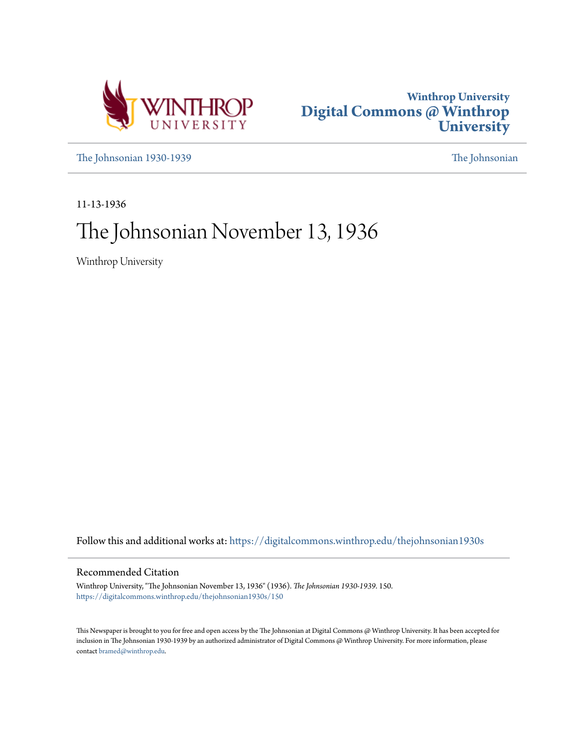



[The Johnsonian 1930-1939](https://digitalcommons.winthrop.edu/thejohnsonian1930s?utm_source=digitalcommons.winthrop.edu%2Fthejohnsonian1930s%2F150&utm_medium=PDF&utm_campaign=PDFCoverPages) [The Johnsonian](https://digitalcommons.winthrop.edu/thejohnsonian_newspaper?utm_source=digitalcommons.winthrop.edu%2Fthejohnsonian1930s%2F150&utm_medium=PDF&utm_campaign=PDFCoverPages)

11-13-1936

## The Johnsonian November 13, 1936

Winthrop University

Follow this and additional works at: [https://digitalcommons.winthrop.edu/thejohnsonian1930s](https://digitalcommons.winthrop.edu/thejohnsonian1930s?utm_source=digitalcommons.winthrop.edu%2Fthejohnsonian1930s%2F150&utm_medium=PDF&utm_campaign=PDFCoverPages)

### Recommended Citation

Winthrop University, "The Johnsonian November 13, 1936" (1936). *The Johnsonian 1930-1939*. 150. [https://digitalcommons.winthrop.edu/thejohnsonian1930s/150](https://digitalcommons.winthrop.edu/thejohnsonian1930s/150?utm_source=digitalcommons.winthrop.edu%2Fthejohnsonian1930s%2F150&utm_medium=PDF&utm_campaign=PDFCoverPages)

This Newspaper is brought to you for free and open access by the The Johnsonian at Digital Commons @ Winthrop University. It has been accepted for inclusion in The Johnsonian 1930-1939 by an authorized administrator of Digital Commons @ Winthrop University. For more information, please contact [bramed@winthrop.edu](mailto:bramed@winthrop.edu).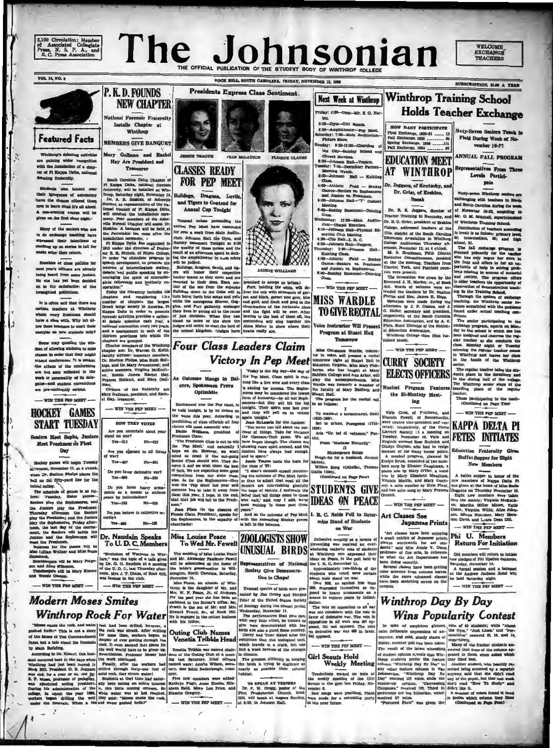# The Johnsonian



trio by Mary El

Art Classes See

"Art classes have been enjoyir News worthwild for apparent print<br>denis," said Miss Annie V. Dun<br>professor of fine arts, in referent<br>to what the Art Department has What we reently,<br>Several classes have been getti<br>Soveral classes have been getti<br>hile the more advanced class<br>ave been aktehing scenes on

posed to heavy armamente as

Then to the composition to all with the state of the composition of the state of the state of the state of the state of the population in all state of the state of the state of the state of the state of the state of the st **Wins Popularity Contest** In spite of suspicious gamest, voto of 43 students; while "About can deliberate expressions of and the Organ." Aust Lines," and Theory and cold, ateachy starts or consilities" received \$3, 18, 28d 19 distinct, another pol

-WIN THE PEP MEET

## Girl Scouts Hold<br>Weekly Meeting

 $\begin{tabular}{l|c|c|c} \hline & \multicolumn{3}{c}{\textbf{inif}} & \multicolumn{3}{c}{\textbf{rself}} \\ \hline \multicolumn{3}{c}{\textbf{Troderifool} & \textbf{worked}} & \textbf{on } \textbf{Crit} \\ \hline \multicolumn{3}{c}{\textbf{the} & \textbf{mely} & \textbf{neatrix} & \textbf{on } \textbf{Crit} \\ \hline \multicolumn{3}{c}{\textbf{flow in the gym last Priday, No}} \\ \hline \multicolumn{3}{c}{\textbf{Row in the ggm and very predictable} } & \multicolumn{3}{c}{\textbf{New enough} & \$ 

dialite, another poli has been taken. <br>
"Mary of the franker students and The results of the histor where<br>there increase this case the column application of the student opinion rewels that Win- peaks to the<br>case of the co

teacher.<br>Those participating in the to<br>Continued on Page Two)

 $-$  WIN THE PEP MEET

### **KAPPA DELTA P FETES INITIATES**

### Education Fraternity Give **Buffet Supper for Eight** New Members

eth M

Japanese Prints

Winthrop Day By Day

 $-$  WIN THE PEP MEET

 $\frac{1}{n}$  A buffet aupper in honor of the meaning of Kappa Dilla Fig. we mean thus<br>and Kappa Dilla Fig. (we give<br>a site honor of Miss Badis (Spagna on Thurstay November<br>3 .<br>Eight new members were taken into the society, V trio by Mary Ensabeth Meachar<br>Virginia Martin, and Mary Cour<br>ney, a cello number by Elsie Plan<br>and two solos sung by Mary France

 $-$  WIN THE PEP MEET

Phi U. Member **Return For Initiation** 

n.<br>
Since pledges of Phi Upsilon Onicine<br>
is new pledges of Phi Upsilon Onicros<br>
Saturday, November 14.<br>
de A formal session and a hanges<br>
A at the Andrew Jackson Holel will<br>
is be held Saturday night.

 $---$  VON THE PEP MEET  $-$ 

## **Modern Moses Smite:**

Day

meet the Freshmen.<br>Referess for the SMiss Lillian Wellner

mack.<br>sekeepers will be<br>and Alice Wilamon<br>nekeepers will be



2,100 Circulation; Member<br>of Associated Collegiate<br>Press, N. S. P. A., and<br>S. C. Press Association

**Featured Facts** 

Winthrop's debating activities

with the installation of a chapter of Pi Kappa Delta, nations

sting frak milty.

 $\overline{\mathbf{R}}$ 

P. K. D. FOUNDS

**NEW CHAPTER** 

al Forensic Fraternit stalls Chapter at

**IE TEAGUE** 

**CLASSES READY** 

**FOR PEP MEET** 

logs, Dragons, Levil

less portending th

and Tigers to Contend for Annual Cop Tonight

u z

**JEAN McLATIETS** 

Winthrop

**MEMBERS GIVE BANQUET** 

Mary Gallman and Rache

Hay Are President and

**Treasures** 

**VOL. 14, NO. 9** 



November 14.<br>Milan Peace, an alumna of Win<br>trop, is the daughter of Mr. an<br>Mrs. W. F. Peace, Jr., of Andrew<br>Por the past year she has been at



## Miss Louise Peace

The wedding of Miss Louise Peach and Mr. Alexander Pauliner Pewel<br>will be solemnized at the home of the bride's grandmother in Will<br>migton, North Carolina, Saturday<br>November 14.

# Iss Louise Peace<br>To Wed Mr. Fewell ZOOLOGISTS SHOW

sented by Jim Conley and Morgan Toler of the United States Society

posed,<br>m defe<br>and opp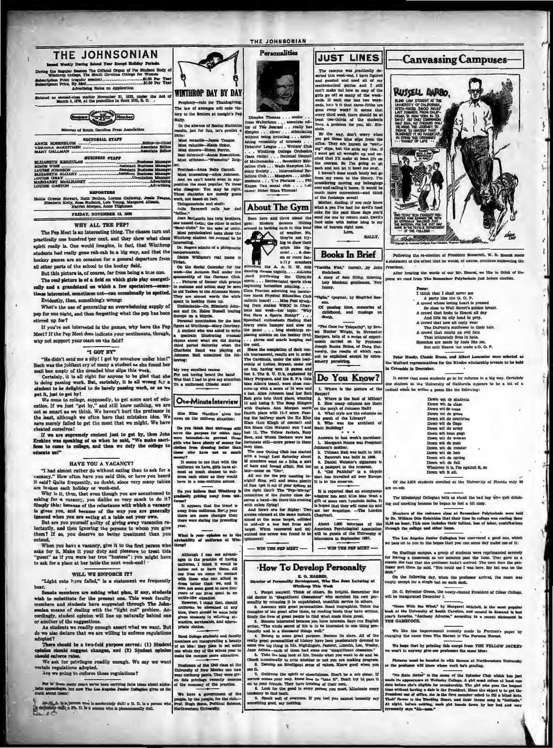

ack occasionally to note whether or not you are making progress 6. Develop an intelligent sense of values. Know good when you

6. Develop an intelligent sense on reason and the same of the same space and the collistics. If collisted to same interval ones to prove freedom the same of the same for the same for the same for the same for the same for

"Gess With the Wind," by Margaret Midshell, is the<br>ok at the University of Seuth Carolina, and second in de<br>ar's favorite, "Antheay Adverse," according to a recent<br>IE GAMECOCE. ed is to

We like the improvement recently made in Furnish fluctuation The Hermit to The Furnish H a's paper by

We hope thet by printing this excrpt from THE YELLOW JACKET won't in anywhy give our preference the mane idea:

nded in with themes a<br>ow where work he's gr Pictures must be handed it

"No Raia Data" is the mann will have grading. Cub which has just made its appearance at Wellminy College. A girt must refuse at least one can be seen the best algebra for exeminectably. The girl who great the set of the s

opted?<br>
There should be a two-fold purpose served: (1) Student<br>
There should suggest changes, and (2) Student optimized<br>
andon should suggest changes, and (2) Student optimize<br>
We sak for privileges readily enough. We say For lo' there many years we've been carrying false ideas about alpha<br>c appendages, but now The Lee Angules Junior Collegian gives us th

 $\overline{d}$ ?

بالمركز (بالمركز) (11) a moderately dull a D. D. la a per finite child a Ph. D. la a per finite child<br>التالي (11) a Ph. D. la a person who is phenomerally dull

ble, and app

Reed College students and family<br>members are inaugurating a beauty<br>of an idea: they plan to set aside<br>one whole dey of the school year to<br>make the campus more attractive.

We have a government<br>people, by the gasple, for the<br>Prof. Hugh Horse, Political is<br>Northwestern Ohiversity. at of the

e, service<br>clothes.

Preshmen of the 1940 class at the habendary of New Mexico can now ser cordurey pants. They were given in this privilege vecesity bocause the concerned behavior to the practice.

of the e

Prof. Hugh Bo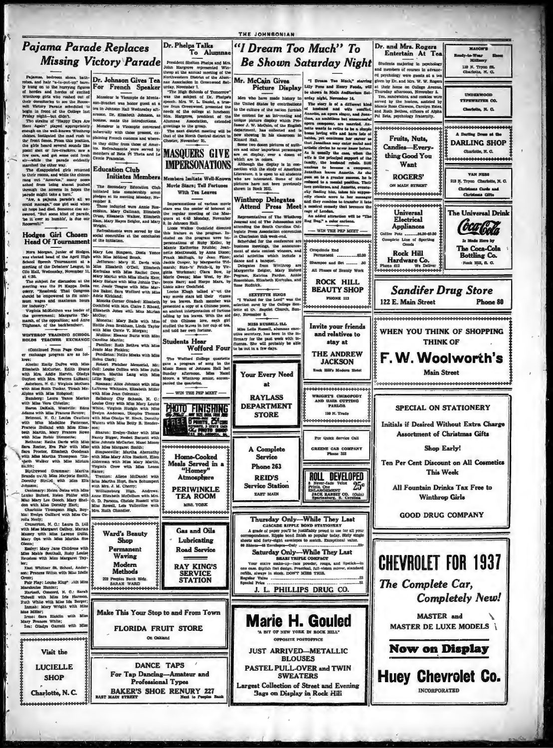

THE JOHNSONIAN

 $\frac{1}{4}$ 

That Whitner St. School, Ander<br>on: Prances Sitton with Miss Idell

Ruth Wh Mas MI